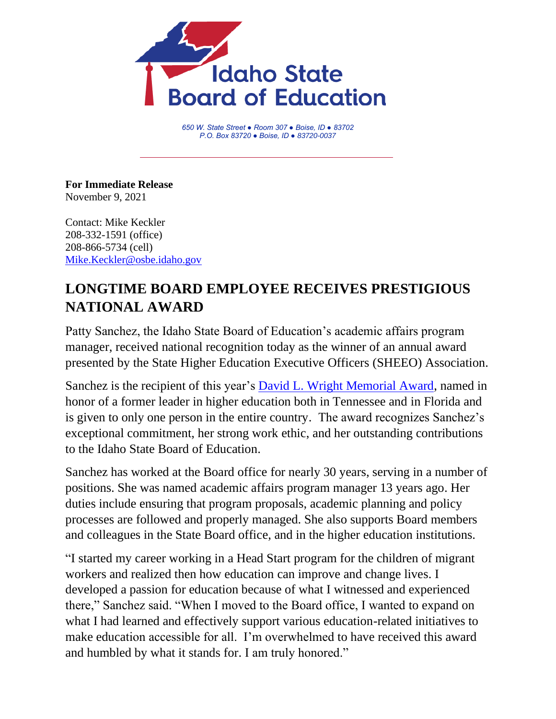

*650 W. State Street ● Room 307 ● Boise, ID ● 83702 P.O. Box 83720 ● Boise, ID ● 83720-0037*

**For Immediate Release** November 9, 2021

Contact: Mike Keckler 208-332-1591 (office) 208-866-5734 (cell) [Mike.Keckler@osbe.idaho.gov](mailto:Mike.Keckler@osbe.idaho.gov)

## **LONGTIME BOARD EMPLOYEE RECEIVES PRESTIGIOUS NATIONAL AWARD**

Patty Sanchez, the Idaho State Board of Education's academic affairs program manager, received national recognition today as the winner of an annual award presented by the State Higher Education Executive Officers (SHEEO) Association.

Sanchez is the recipient of this year's [David L. Wright Memorial Award,](https://sheeo.org/membership/sheeo-awards/) named in honor of a former leader in higher education both in Tennessee and in Florida and is given to only one person in the entire country. The award recognizes Sanchez's exceptional commitment, her strong work ethic, and her outstanding contributions to the Idaho State Board of Education.

Sanchez has worked at the Board office for nearly 30 years, serving in a number of positions. She was named academic affairs program manager 13 years ago. Her duties include ensuring that program proposals, academic planning and policy processes are followed and properly managed. She also supports Board members and colleagues in the State Board office, and in the higher education institutions.

"I started my career working in a Head Start program for the children of migrant workers and realized then how education can improve and change lives. I developed a passion for education because of what I witnessed and experienced there," Sanchez said. "When I moved to the Board office, I wanted to expand on what I had learned and effectively support various education-related initiatives to make education accessible for all. I'm overwhelmed to have received this award and humbled by what it stands for. I am truly honored."